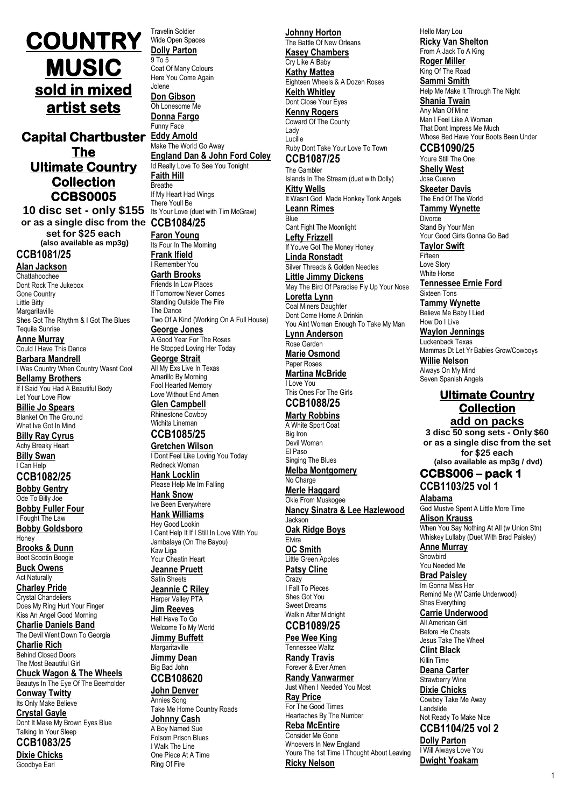# **COUNTRY MUSIC sold in mixed artist sets**

**Capital Chartbuster Eddy Arnold The Ultimate Country Collection CCBS0005** 

**10 disc set - only \$155** Its Your Love (duet with Tim McGraw) **or as a single disc from the CCB1084/25 set for \$25 each (also available as mp3g) CCB1081/25**

**Alan Jackson** Chattahoochee Dont Rock The Jukebox Gone Country Little Bitty **Margaritaville** Shes Got The Rhythm & I Got The Blues Tequila Sunrise **Anne Murray** Could I Have This Dance

**Barbara Mandrell** I Was Country When Country Wasnt Cool **Bellamy Brothers** If I Said You Had A Beautiful Body Let Your Love Flow

**Billie Jo Spears** Blanket On The Ground What Ive Got In Mind

**Billy Ray Cyrus** Achy Breaky Heart **Billy Swan** I Can Help

# **CCB1082/25**

**Bobby Gentry** Ode To Billy Joe **Bobby Fuller Four** I Fought The Law **Bobby Goldsboro Honey** 

**Brooks & Dunn** Boot Scootin Boogie

**Buck Owens** Act Naturally **Charley Pride** Crystal Chandeliers

Does My Ring Hurt Your Finger Kiss An Angel Good Morning **Charlie Daniels Band**

The Devil Went Down To Georgia **Charlie Rich**

Behind Closed Doors The Most Beautiful Girl **Chuck Wagon & The Wheels**

Beautys In The Eye Of The Beerholder **Conway Twitty**

Its Only Make Believe **Crystal Gayle**

Dont It Make My Brown Eyes Blue Talking In Your Sleep **CCB1083/25**

# **Dixie Chicks**

Goodbye Earl

Travelin Soldier Wide Open Spaces **Dolly Parton** 9 To 5

Coat Of Many Colours Here You Come Again Jolene **Don Gibson** Oh Lonesome Me

**Donna Fargo** Funny Face

Make The World Go Away **England Dan & John Ford Coley** Id Really Love To See You Tonight **Faith Hill Breathe** If My Heart Had Wings There Youll Be

**Faron Young** Its Four In The Morning **Frank Ifield** I Remember You

**Garth Brooks** Friends In Low Places If Tomorrow Never Comes Standing Outside The Fire The Dance

Two Of A Kind (Working On A Full House) **George Jones**

A Good Year For The Roses He Stopped Loving Her Today

# **George Strait**

All My Exs Live In Texas Amarillo By Morning Fool Hearted Memory Love Without End Amen **Glen Campbell** Rhinestone Cowboy Wichita Lineman

**CCB1085/25**

**Gretchen Wilson**

I Dont Feel Like Loving You Today Redneck Woman **Hank Locklin** Please Help Me Im Falling **Hank Snow** Ive Been Everywhere **Hank Williams** Hey Good Lookin I Cant Help It If I Still In Love With You Jambalaya (On The Bayou) Kaw Liga

Your Cheatin Heart **Jeanne Pruett**

Satin Sheets **Jeannie C Riley** Harper Valley PTA

**Jim Reeves** Hell Have To Go Welcome To My World

**Jimmy Buffett Margaritaville Jimmy Dean**

Big Bad John **CCB108620**

# **John Denver**

Annies Song Take Me Home Country Roads **Johnny Cash** A Boy Named Sue Folsom Prison Blues I Walk The Line One Piece At A Time Ring Of Fire

**Johnny Horton** The Battle Of New Orleans **Kasey Chambers** Cry Like A Baby **Kathy Mattea** Eighteen Wheels & A Dozen Roses **Keith Whitley** Dont Close Your Eves **Kenny Rogers** Coward Of The County Lady Lucille Ruby Dont Take Your Love To Town

**CCB1087/25**

The Gambler Islands In The Stream (duet with Dolly) **Kitty Wells** It Wasnt God Made Honkey Tonk Angels

**Leann Rimes Blue** 

Cant Fight The Moonlight **Lefty Frizzell** If Youve Got The Money Honey **Linda Ronstadt** Silver Threads & Golden Needles

**Little Jimmy Dickens** May The Bird Of Paradise Fly Up Your Nose **Loretta Lynn** Coal Miners Daughter Dont Come Home A Drinkin

You Aint Woman Enough To Take My Man **Lynn Anderson** Rose Garden

**Marie Osmond** Paper Roses

**Martina McBride** I Love You This Ones For The Girls

# **CCB1088/25**

**Marty Robbins** A White Sport Coat Big Iron Devil Woman El Paso Singing The Blues **Melba Montgomery** No Charge **Merle Haggard** Okie From Muskogee

**Nancy Sinatra & Lee Hazlewood**

#### Jackson **Oak Ridge Boys** Elvira

**OC Smith** Little Green Apples **Patsy Cline**

**Crazy** I Fall To Pieces Shes Got You Sweet Dreams Walkin After Midnight

# **CCB1089/25**

**Pee Wee King** Tennessee Waltz **Randy Travis**

Forever & Ever Amen **Randy Vanwarmer** Just When I Needed You Most **Ray Price** For The Good Times

Heartaches By The Number **Reba McEntire** Consider Me Gone Whoevers In New England Youre The 1st Time I Thought About Leaving **Ricky Nelson**

Hello Mary Lou **Ricky Van Shelton** From A Jack To A King

**Roger Miller** King Of The Road

**Sammi Smith** Help Me Make It Through The Night **Shania Twain** Any Man Of Mine Man I Feel Like A Woman That Dont Impress Me Much

Whose Bed Have Your Boots Been Under **CCB1090/25**

Youre Still The One

**Shelly West** Jose Cuervo

**Skeeter Davis** The End Of The World **Tammy Wynette**

**Divorce** 

Stand By Your Man Your Good Girls Gonna Go Bad **Taylor Swift**

**Fifteen** Love Story White Horse

**Tennessee Ernie Ford** Sixteen Tons

**Tammy Wynette** Believe Me Baby I Lied How Do I Live

**Waylon Jennings** Luckenback Texas

Mammas Dt Let Yr Babies Grow/Cowboys **Willie Nelson**

Always On My Mind Seven Spanish Angels

# **Ultimate Country Collection**

**add on packs 3 disc 50 song sets - Only \$60 or as a single disc from the set for \$25 each (also available as mp3g / dvd)**

## **CCBS006 – pack 1 CCB1103/25 vol 1**

**Alabama** God Mustve Spent A Little More Time

**Alison Krauss** When You Say Nothing At All (w Union Stn) Whiskey Lullaby (Duet With Brad Paisley)

**Anne Murray Snowhird** 

You Needed Me

**Brad Paisley** Im Gonna Miss Her

Remind Me (W Carrie Underwood) Shes Everything

**Carrie Underwood** All American Girl

Before He Cheats Jesus Take The Wheel

**Clint Black** Killin Time

**Deana Carter**

Strawberry Wine

**Dixie Chicks** Cowboy Take Me Away Landslide Not Ready To Make Nice

**CCB1104/25 vol 2**

**Dolly Parton** I Will Always Love You **Dwight Yoakam**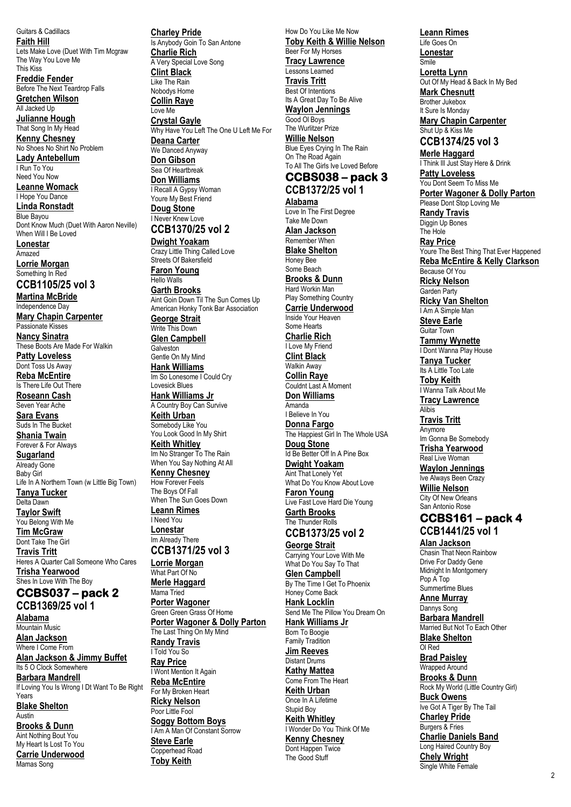Guitars & Cadillacs **Faith Hill** Lets Make Love (Duet With Tim Mcgraw The Way You Love Me This Kiss **Freddie Fender** Before The Next Teardrop Falls **Gretchen Wilson** All Jacked Up **Julianne Hough** That Song In My Head **Kenny Chesney** No Shoes No Shirt No Problem **Lady Antebellum** I Run To You Need You Now **Leanne Womack** I Hope You Dance **Linda Ronstadt** Blue Bayou Dont Know Much (Duet With Aaron Neville) When Will I Be Loved **Lonestar** Amazed **Lorrie Morgan** Something In Red **CCB1105/25 vol 3 Martina McBride** Independence Day **Mary Chapin Carpenter** Passionate Kisses **Nancy Sinatra** These Boots Are Made For Walkin **Patty Loveless** Dont Toss Us Away **Reba McEntire** Is There Life Out There **Roseann Cash** Seven Year Ache **Sara Evans** Suds In The Bucket **Shania Twain** Forever & For Always **Sugarland** Already Gone Baby Girl Life In A Northern Town (w Little Big Town) **Tanya Tucker** Delta Dawn **Taylor Swift** You Belong With Me **Tim McGraw** Dont Take The Girl **Travis Tritt** Heres A Quarter Call Someone Who Cares **Trisha Yearwood** Shes In Love With The Boy **CCBS037 – pack 2 CCB1369/25 vol 1 Alabama** Mountain Music **Alan Jackson** Where I Come From **Alan Jackson & Jimmy Buffet** Its 5 O Clock Somewhere **Barbara Mandrell** If Loving You Is Wrong I Dt Want To Be Right Years **Blake Shelton** Austin **Brooks & Dunn** Aint Nothing Bout You My Heart Is Lost To You **Carrie Underwood** Mamas Song

**Charley Pride** Is Anybody Goin To San Antone **Charlie Rich** A Very Special Love Song **Clint Black** Like The Rain Nobodys Home **Collin Raye** Love Me **Crystal Gayle** Why Have You Left The One U Left Me For **Deana Carter** We Danced Anyway **Don Gibson** Sea Of Heartbreak **Don Williams** I Recall A Gypsy Woman Youre My Best Friend **Doug Stone** I Never Knew Love **CCB1370/25 vol 2 Dwight Yoakam** Crazy Little Thing Called Love Streets Of Bakersfield **Faron Young** Hello Walls **Garth Brooks** Aint Goin Down Til The Sun Comes Up American Honky Tonk Bar Association **George Strait** Write This Down **Glen Campbell** Galveston Gentle On My Mind **Hank Williams** Im So Lonesome I Could Cry Lovesick Blues **Hank Williams Jr** A Country Boy Can Survive **Keith Urban** Somebody Like You You Look Good In My Shirt **Keith Whitley** Im No Stranger To The Rain When You Say Nothing At All **Kenny Chesney** How Forever Feels The Boys Of Fall When The Sun Goes Down **Leann Rimes** I Need You **Lonestar** Im Already There **CCB1371/25 vol 3 Lorrie Morgan** What Part Of No **Merle Haggard** Mama Tried **Porter Wagoner** Green Green Grass Of Home **Porter Wagoner & Dolly Parton** The Last Thing On My Mind **Randy Travis**  I Told You So **Ray Price** I Wont Mention It Again **Reba McEntire** For My Broken Heart **Ricky Nelson** Poor Little Fool **Soggy Bottom Boys** I Am A Man Of Constant Sorrow **Steve Earle** Copperhead Road **Toby Keith**

How Do You Like Me Now **Toby Keith & Willie Nelson** Beer For My Horses **Tracy Lawrence** Lessons Learned **Travis Tritt Best Of Intentions** Its A Great Day To Be Alive **Waylon Jennings** Good Ol Boys The Wurlitzer Prize **Willie Nelson** Blue Eyes Crying In The Rain On The Road Again To All The Girls Ive Loved Before **CCBS038 – pack 3 CCB1372/25 vol 1 Alabama** Love In The First Degree Take Me Down **Alan Jackson** Remember When **Blake Shelton** Honey Bee Some Beach **Brooks & Dunn** Hard Workin Man Play Something Country **Carrie Underwood** Inside Your Heaven Some Hearts **Charlie Rich** I Love My Friend **Clint Black** Walkin Away **Collin Raye** Couldnt Last A Moment **Don Williams** Amanda I Believe In You **Donna Fargo** The Happiest Girl In The Whole USA **Doug Stone** Id Be Better Off In A Pine Box **Dwight Yoakam** Aint That Lonely Yet What Do You Know About Love **Faron Young** Live Fast Love Hard Die Young **Garth Brooks** The Thunder Rolls **CCB1373/25 vol 2 George Strait** Carrying Your Love With Me What Do You Say To That **Glen Campbell** By The Time I Get To Phoenix Honey Come Back **Hank Locklin** Send Me The Pillow You Dream On **Hank Williams Jr** Born To Boogie Family Tradition **Jim Reeves** Distant Drums **Kathy Mattea** Come From The Heart **Keith Urban** Once In A Lifetime Stupid Boy **Keith Whitley** I Wonder Do You Think Of Me **Kenny Chesney** Dont Happen Twice

The Good Stuff

**Leann Rimes** Life Goes On **Lonestar**

Smile **Loretta Lynn** Out Of My Head & Back In My Bed **Mark Chesnutt**

Brother Jukebox It Sure Is Monday **Mary Chapin Carpenter** Shut Up & Kiss Me

**CCB1374/25 vol 3**

**Merle Haggard** I Think Ill Just Stay Here & Drink **Patty Loveless** You Dont Seem To Miss Me **Porter Wagoner & Dolly Parton** Please Dont Stop Loving Me **Randy Travis**  Diggin Up Bones The Hole **Ray Price** Youre The Best Thing That Ever Happened **Reba McEntire & Kelly Clarkson** Because Of You **Ricky Nelson** Garden Party **Ricky Van Shelton** I Am A Simple Man **Steve Earle** Guitar Town **Tammy Wynette** I Dont Wanna Play House **Tanya Tucker** Its A Little Too Late **Toby Keith** I Wanna Talk About Me **Tracy Lawrence** Alibis **Travis Tritt** Anymore Im Gonna Be Somebody **Trisha Yearwood** Real Live Woman **Waylon Jennings** Ive Always Been Crazy **Willie Nelson** City Of New Orleans San Antonio Rose **CCBS161 – pack 4 CCB1441/25 vol 1 Alan Jackson** Chasin That Neon Rainbow Drive For Daddy Gene Midnight In Montgomery Pop A Top Summertime Blues **Anne Murray** Dannys Song **Barbara Mandrell** Married But Not To Each Other **Blake Shelton** Ol Red **Brad Paisley** Wrapped Around **Brooks & Dunn** Rock My World (Little Country Girl) **Buck Owens** Ive Got A Tiger By The Tail **Charley Pride** Burgers & Fries **Charlie Daniels Band**

Long Haired Country Boy **Chely Wright** Single White Female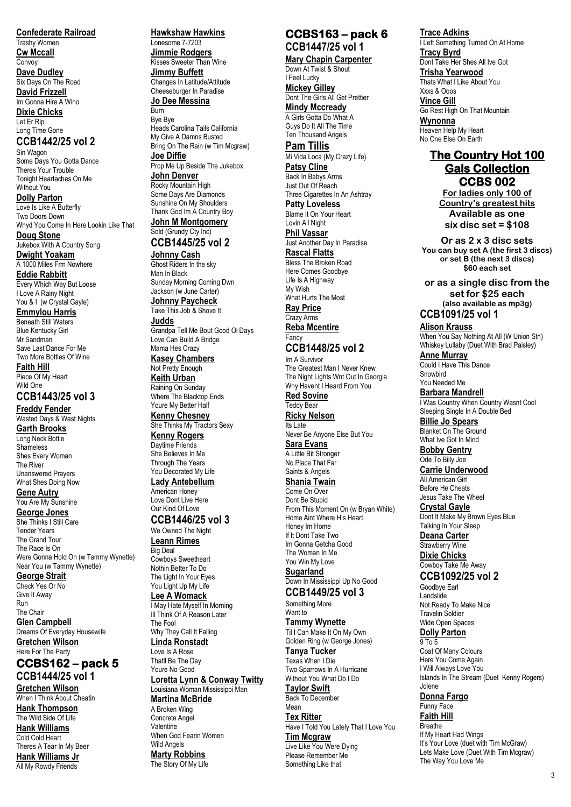**Confederate Railroad** Trashy Women

**Cw Mccall Convoy** 

**Dave Dudley** Six Days On The Road

**David Frizzell**

Im Gonna Hire A Wino **Dixie Chicks** Let Er Rip

### Long Time Gone **CCB1442/25 vol 2**

Sin Wagon Some Days You Gotta Dance Theres Your Trouble Tonight Heartaches On Me Without You

**Dolly Parton** Love Is Like A Butterfly Two Doors Down Whyd You Come In Here Lookin Like That

**Doug Stone** Jukebox With A Country Song **Dwight Yoakam**

A 1000 Miles Frm Nowhere **Eddie Rabbitt**

Every Which Way But Loose I Love A Rainy Night You & I (w Crystal Gayle)

**Emmylou Harris**

Beneath Still Waters Blue Kentucky Girl Mr Sandman Save Last Dance For Me Two More Bottles Of Wine **Faith Hill** Piece Of My Heart Wild One

# **CCB1443/25 vol 3**

**Freddy Fender** Wasted Days & Wast Nights **Garth Brooks** Long Neck Bottle Shameless

Shes Every Woman The River Unanswered Prayers What Shes Doing Now

**Gene Autry** You Are My Sunshine

**George Jones**

She Thinks I Still Care Tender Years The Grand Tour The Race Is On Were Gonna Hold On (w Tammy Wynette) Near You (w Tammy Wynette)

**George Strait** Check Yes Or No

Give It Away Run The Chair

**Glen Campbell** Dreams Of Everyday Housewife **Gretchen Wilson** Here For The Party

**CCBS162 – pack 5 CCB1444/25 vol 1 Gretchen Wilson** When I Think About Cheatin

**Hank Thompson** The Wild Side Of Life

**Hank Williams** Cold Cold Heart Theres A Tear In My Beer

**Hank Williams Jr** All My Rowdy Friends

### **Hawkshaw Hawkins** Lonesome 7-7203

**Jimmie Rodgers** Kisses Sweeter Than Wine **Jimmy Buffett** Changes In Latitude/Attitude Cheeseburger In Paradise

### **Jo Dee Messina** Burn

Bye Bye Heads Carolina Tails California My Give A Damns Busted Bring On The Rain (w Tim Mcgraw) **Joe Diffie** Prop Me Up Beside The Jukebox

**John Denver** Rocky Mountain High Some Days Are Diamonds Sunshine On My Shoulders Thank God Im A Country Boy **John M Montgomery** Sold (Grundy Cty Inc)

# **CCB1445/25 vol 2**

**Johnny Cash** Ghost Riders In the sky Man In Black Sunday Morning Coming Dwn Jackson (w June Carter) **Johnny Paycheck Take This Job & Shove It** 

**Judds** Grandpa Tell Me Bout Good Ol Days Love Can Build A Bridge

Mama Hes Crazy **Kasey Chambers**

Not Pretty Enough

**Keith Urban** Raining On Sunday Where The Blacktop Ends

Youre My Better Half **Kenny Chesney** She Thinks My Tractors Sexy **Kenny Rogers** Daytime Friends She Believes In Me

Through The Years You Decorated My Life **Lady Antebellum**

American Honey Love Dont Live Here Our Kind Of Love

### **CCB1446/25 vol 3** We Owned The Night

**Leann Rimes** Big Deal

Cowboys Sweetheart Nothin Better To Do

#### The Light In Your Eyes You Light Up My Life

**Lee A Womack**

I May Hate Myself In Morning Ill Think Of A Reason Later The Fool

Why They Call It Falling **Linda Ronstadt**

Love Is A Rose Thatll Be The Day

# Youre No Good

**Loretta Lynn & Conway Twitty** Louisiana Woman Mississippi Man

**Martina McBride**

A Broken Wing Concrete Angel Valentine When God Fearin Women Wild Angels **Marty Robbins** The Story Of My Life

### **CCBS163 – pack 6 CCB1447/25 vol 1**

**Mary Chapin Carpenter**

Down At Twist & Shout I Feel Lucky **Mickey Gilley** Dont The Girls All Get Prettier

**Mindy Mccready** A Girls Gotta Do What A Guys Do It All The Time Ten Thousand Angels

**Pam Tillis**

Mi Vida Loca (My Crazy Life) **Patsy Cline** Back In Babys Arms Just Out Of Reach Three Cigarettes In An Ashtray

**Patty Loveless** Blame It On Your Heart Lovin All Night **Phil Vassar**

Just Another Day In Paradise **Rascal Flatts** Bless The Broken Road Here Comes Goodbye Life Is A Highway

My Wish What Hurts The Most **Ray Price**

Crazy Arms **Reba Mcentire** Fancy

# **CCB1448/25 vol 2**

Im A Survivor The Greatest Man I Never Knew The Night Lights Wnt Out In Georgia Why Havent I Heard From You **Red Sovine**

Teddy Bear **Ricky Nelson**

Its Late Never Be Anyone Else But You **Sara Evans**

A Little Bit Stronger No Place That Far Saints & Angels

# **Shania Twain**

Come On Over Dont Be Stupid From This Moment On (w Bryan White) Home Aint Where His Heart Honey Im Home If It Dont Take Two Im Gonna Getcha Good The Woman In Me You Win My Love **Sugarland**

Down In Mississippi Up No Good **CCB1449/25 vol 3**

Something More Want to

**Tammy Wynette**

Til I Can Make It On My Own Golden Ring (w George Jones) **Tanya Tucker** Texas When I Die Two Sparrows In A Hurricane Without You What Do I Do **Taylor Swift** Back To December

### Mean **Tex Ritter**

Have I Told You Lately That I Love You **Tim Mcgraw** Live Like You Were Dying Please Remember Me Something Like that

# **Trace Adkins**

I Left Something Turned On At Home **Tracy Byrd** Dont Take Her Shes All Ive Got **Trisha Yearwood Thats What I Like About You** Xxxs & Ooos **Vince Gill** Go Rest High On That Mountain **Wynonna** Heaven Help My Heart No One Else On Earth

# **The Country Hot 100 Gals Collection CCBS 002**

**For ladies only 100 of Country's greatest hits Available as one six disc set = \$108**

**Or as 2 x 3 disc sets You can buy set A (the first 3 discs) or set B (the next 3 discs) \$60 each set**

**or as a single disc from the set for \$25 each (also available as mp3g)**

# **CCB1091/25 vol 1**

**Alison Krauss**

When You Say Nothing At All (W Union Stn) Whiskey Lullaby (Duet With Brad Paisley) **Anne Murray**

Could I Have This Dance Snowbird You Needed Me

**Barbara Mandrell** I Was Country When Country Wasnt Cool Sleeping Single In A Double Bed

**Billie Jo Spears** Blanket On The Ground What Ive Got In Mind

**Bobby Gentry** Ode To Billy Joe

**Carrie Underwood** All American Girl Before He Cheats Jesus Take The Wheel

**Crystal Gayle** Dont It Make My Brown Eyes Blue Talking In Your Sleep

**Deana Carter** Strawberry Wine **Dixie Chicks**

Cowboy Take Me Away **CCB1092/25 vol 2**

Goodbye Earl Landslide Not Ready To Make Nice Travelin Soldier Wide Open Spaces

# **Dolly Parton**

9 To 5 Coat Of Many Colours Here You Come Again I Will Always Love You Islands In The Stream (Duet Kenny Rogers) Jolene

**Donna Fargo** Funny Face **Faith Hill**

Breathe If My Heart Had Wings It's Your Love (duet with Tim McGraw) Lets Make Love (Duet With Tim Mcgraw) The Way You Love Me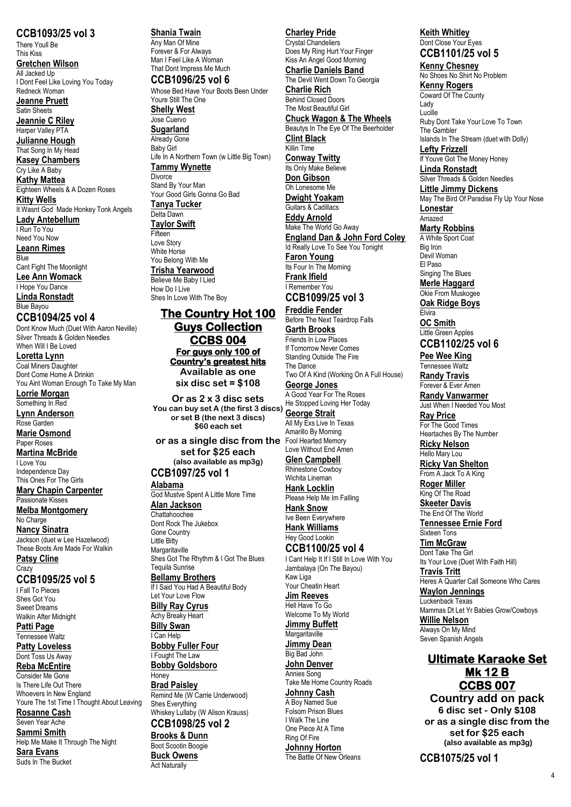**CCB1093/25 vol 3** There Youll Be This Kiss **Gretchen Wilson** All Jacked Up

I Dont Feel Like Loving You Today Redneck Woman

**Jeanne Pruett** Satin Sheets

**Jeannie C Riley** Harper Valley PTA

**Julianne Hough** That Song In My Head **Kasey Chambers**

Cry Like A Baby **Kathy Mattea** Eighteen Wheels & A Dozen Roses **Kitty Wells** It Wasnt God Made Honkey Tonk Angels **Lady Antebellum** I Run To You Need You Now **Leann Rimes**

Blue Cant Fight The Moonlight **Lee Ann Womack** I Hope You Dance **Linda Ronstadt** Blue Bayou

### **CCB1094/25 vol 4**

Dont Know Much (Duet With Aaron Neville) Silver Threads & Golden Needles When Will I Be Loved

**Loretta Lynn** Coal Miners Daughter Dont Come Home A Drinkin You Aint Woman Enough To Take My Man

**Lorrie Morgan** Something In Red

**Lynn Anderson** Rose Garden

**Marie Osmond** Paper Roses **Martina McBride** I Love You

Independence Day This Ones For The Girls

**Mary Chapin Carpenter** Passionate Kisses

**Melba Montgomery** No Charge

**Nancy Sinatra** Jackson (duet w Lee Hazelwood) These Boots Are Made For Walkin

**Patsy Cline Crazy** 

**CCB1095/25 vol 5** I Fall To Pieces

Shee Cot You Sweet Dreams Walkin After Midnight

**Patti Page** Tennessee Waltz

**Patty Loveless** Dont Toss Us Away

**Reba McEntire** Consider Me Gone Is There Life Out There Whoevers In New England Youre The 1st Time I Thought About Leaving

**Rosanne Cash** Seven Year Ache

**Sammi Smith**

Help Me Make It Through The Night **Sara Evans** Suds In The Bucket

**Shania Twain** Any Man Of Mine Forever & For Always Man I Feel Like A Woman That Dont Impress Me Much **CCB1096/25 vol 6** Whose Bed Have Your Boots Been Under Youre Still The One **Shelly West**

Jose Cuervo **Sugarland** Already Gone Baby Girl Life In A Northern Town (w Little Big Town) **Tammy Wynette Divorce** Stand By Your Man

Your Good Girls Gonna Go Bad **Tanya Tucker** Delta Dawn

# **Taylor Swift**

**Fifteen** Love Story White Horse You Belong With Me **Trisha Yearwood** Believe Me Baby I Lied How Do I Live Shes In Love With The Boy

# **The Country Hot 100 Guys Collection CCBS 004 For guys only 100 of Country's greatest hits**

**Available as one six disc set = \$108**

**Or as 2 x 3 disc sets You can buy set A (the first 3 discs) or set B (the next 3 discs) \$60 each set**

**or as a single disc from the**  Fool Hearted Memory **set for \$25 each (also available as mp3g) CCB1097/25 vol 1**

# **Alabama**

God Mustve Spent A Little More Time **Alan Jackson**

**Chattahoochee** Dont Rock The Jukebox Gone Country Little Bitty **Margaritaville** Shes Got The Rhythm & I Got The Blues

Tequila Sunrise **Bellamy Brothers**

If I Said You Had A Beautiful Body Let Your Love Flow **Billy Ray Cyrus**

Achy Breaky Heart **Billy Swan** I Can Help

**Bobby Fuller Four** I Fought The Law

**Bobby Goldsboro** Honey

**Brad Paisley** Remind Me (W Carrie Underwood) Shes Everything Whiskey Lullaby (W Alison Krauss)

**CCB1098/25 vol 2 Brooks & Dunn**

Boot Scootin Boogie **Buck Owens** Act Naturally

# **Charley Pride**

Crystal Chandeliers Does My Ring Hurt Your Finger Kiss An Angel Good Morning **Charlie Daniels Band** The Devil Went Down To Georgia

**Charlie Rich** Behind Closed Doors The Most Beautiful Girl **Chuck Wagon & The Wheels** Beautys In The Eye Of The Beerholder **Clint Black** Killin Time **Conway Twitty** Its Only Make Believe **Don Gibson** Oh Lonesome Me **Dwight Yoakam** Guitars & Cadillacs **Eddy Arnold** Make The World Go Away **England Dan & John Ford Coley** Id Really Love To See You Tonight **Faron Young**

Its Four In The Morning **Frank Ifield** I Remember You **CCB1099/25 vol 3**

**Freddie Fender** Before The Next Teardrop Falls **Garth Brooks** Friends In Low Places If Tomorrow Never Comes Standing Outside The Fire The Dance Two Of A Kind (Working On A Full House) **George Jones** A Good Year For The Roses

He Stopped Loving Her Today **George Strait** All My Exs Live In Texas Amarillo By Morning

Love Without End Amen **Glen Campbell**

Rhinestone Cowboy Wichita Lineman **Hank Locklin**

Please Help Me Im Falling **Hank Snow** Ive Been Everywhere

**Hank Williams** Hey Good Lookin

#### **CCB1100/25 vol 4** I Cant Help It If I Still In Love With You Jambalaya (On The Bayou)

Kaw Liga Your Cheatin Heart **Jim Reeves**

Hell Have To Go Welcome To My World **Jimmy Buffett**

**Margaritaville Jimmy Dean**

Big Bad John **John Denver** Annies Song

Take Me Home Country Roads **Johnny Cash** A Boy Named Sue Folsom Prison Blues I Walk The Line One Piece At A Time

Ring Of Fire **Johnny Horton** The Battle Of New Orleans

### **Keith Whitley** Dont Close Your Eyes **CCB1101/25 vol 5**

**Kenny Chesney** No Shoes No Shirt No Problem **Kenny Rogers**

Coward Of The County Lady Lucille Ruby Dont Take Your Love To Town The Gambler Islands In The Stream (duet with Dolly) **Lefty Frizzell** If Youve Got The Money Honey **Linda Ronstadt** Silver Threads & Golden Needles **Little Jimmy Dickens**

May The Bird Of Paradise Fly Up Your Nose **Lonestar** Amazed **Marty Robbins**

A White Sport Coat Big Iron Devil Woman

El Paso Singing The Blues

**Merle Haggard** Okie From Muskogee

**Oak Ridge Boys** Elvira

**OC Smith** Little Green Apples

**CCB1102/25 vol 6 Pee Wee King**

Tennessee Waltz **Randy Travis** Forever & Ever Amen

**Randy Vanwarmer** Just When I Needed You Most

**Ray Price** For The Good Times Heartaches By The Number

**Ricky Nelson** Hello Mary Lou

**Ricky Van Shelton** From A Jack To A King

**Roger Miller** King Of The Road **Skeeter Davis**

The End Of The World **Tennessee Ernie Ford** Sixteen Tons

**Tim McGraw** Dont Take The Girl Its Your Love (Duet With Faith Hill)

**Travis Tritt** Heres A Quarter Call Someone Who Cares

**Waylon Jennings** Luckenback Texas

Mammas Dt Let Yr Babies Grow/Cowboys **Willie Nelson**

Always On My Mind Seven Spanish Angels

# **Ultimate Karaoke Set Mk 12 B CCBS 007**

**Country add on pack 6 disc set - Only \$108 or as a single disc from the set for \$25 each (also available as mp3g)**

**CCB1075/25 vol 1**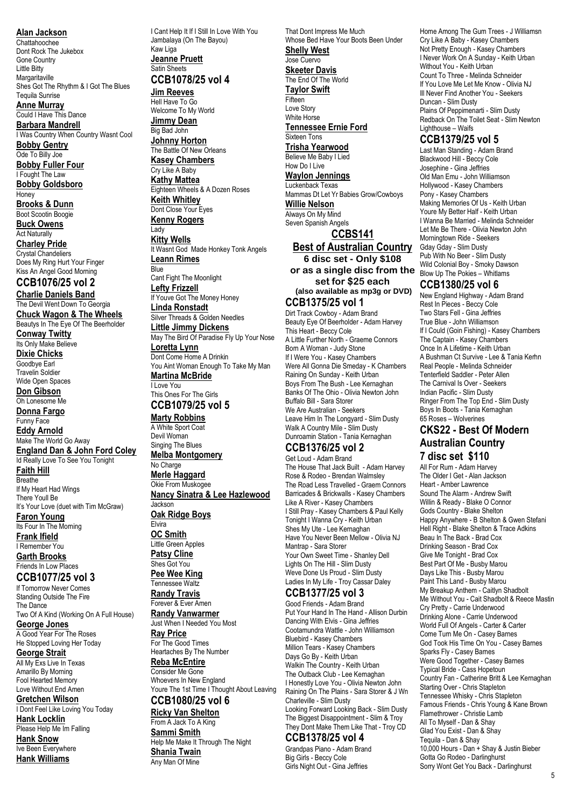**Alan Jackson** Chattahoochee Dont Rock The Jukebox Gone Country Little Bitty **Margaritaville** Shes Got The Rhythm & I Got The Blues Tequila Sunrise **Anne Murray** Could I Have This Dance **Barbara Mandrell** I Was Country When Country Wasnt Cool **Bobby Gentry** Ode To Billy Joe **Bobby Fuller Four** I Fought The Law **Bobby Goldsboro Honey Brooks & Dunn** Boot Scootin Boogie **Buck Owens** Act Naturally **Charley Pride** Crystal Chandeliers Does My Ring Hurt Your Finger

Kiss An Angel Good Morning **CCB1076/25 vol 2**

**Charlie Daniels Band** The Devil Went Down To Georgia **Chuck Wagon & The Wheels** Beautys In The Eye Of The Beerholder **Conway Twitty** Its Only Make Believe **Dixie Chicks** Goodbye Earl Travelin Soldier Wide Open Spaces **Don Gibson** Oh Lonesome Me **Donna Fargo** Funny Face **Eddy Arnold** Make The World Go Away **England Dan & John Ford Coley**

Id Really Love To See You Tonight **Faith Hill** Breathe If My Heart Had Wings There Youll Be It's Your Love (duet with Tim McGraw) **Faron Young** Its Four In The Morning

**Frank Ifield** I Remember You **Garth Brooks** Friends In Low Places

### **CCB1077/25 vol 3**

If Tomorrow Never Comes Standing Outside The Fire The Dance Two Of A Kind (Working On A Full House)

**George Jones** A Good Year For The Roses He Stopped Loving Her Today

### **George Strait**

All My Exs Live In Texas Amarillo By Morning Fool Hearted Memory Love Without End Amen

### **Gretchen Wilson**

I Dont Feel Like Loving You Today **Hank Locklin** Please Help Me Im Falling

**Hank Snow** Ive Been Everywhere **Hank Williams**

I Cant Help It If I Still In Love With You Jambalaya (On The Bayou) Kaw Liga **Jeanne Pruett**

Satin Sheets **CCB1078/25 vol 4**

## **Jim Reeves**

Hell Have To Go Welcome To My World **Jimmy Dean** Big Bad John **Johnny Horton** The Battle Of New Orleans **Kasey Chambers** Cry Like A Baby **Kathy Mattea** Eighteen Wheels & A Dozen Roses **Keith Whitley** Dont Close Your Eyes **Kenny Rogers** Lady **Kitty Wells** It Wasnt God Made Honkey Tonk Angels

**Leann Rimes Blue** Cant Fight The Moonlight **Lefty Frizzell** If Youve Got The Money Honey

### **Linda Ronstadt** Silver Threads & Golden Needles **Little Jimmy Dickens**

May The Bird Of Paradise Fly Up Your Nose **Loretta Lynn** Dont Come Home A Drinkin You Aint Woman Enough To Take My Man

**Martina McBride** I Love You This Ones For The Girls

# **CCB1079/25 vol 5**

**Marty Robbins** A White Sport Coat Devil Woman Singing The Blues **Melba Montgomery** No Charge **Merle Haggard** Okie From Muskogee **Nancy Sinatra & Lee Hazlewood** Jackson **Oak Ridge Boys Elvira OC Smith**

Little Green Apples **Patsy Cline** Shes Got You

**Pee Wee King** Tennessee Waltz **Randy Travis** Forever & Ever Amen

# **Randy Vanwarmer**

Just When I Needed You Most **Ray Price** For The Good Times Heartaches By The Number

### **Reba McEntire**

Consider Me Gone Whoevers In New England Youre The 1st Time I Thought About Leaving **CCB1080/25 vol 6**

**Ricky Van Shelton** From A Jack To A King **Sammi Smith** Help Me Make It Through The Night **Shania Twain** Any Man Of Mine

**Shelly West** Jose Cuervo **Skeeter Davis** The End Of The World **Taylor Swift Fifteen** Love Story White Horse **Tennessee Ernie Ford** Sixteen Tons **Trisha Yearwood** Believe Me Baby I Lied How Do I Live **Waylon Jennings** Luckenback Texas Mammas Dt Let Yr Babies Grow/Cowboys **Willie Nelson** Always On My Mind Seven Spanish Angels **CCBS141**

That Dont Impress Me Much

Whose Bed Have Your Boots Been Under

**Best of Australian Country 6 disc set - Only \$108 or as a single disc from the**  Blow Up The Pokies – Whitlams **set for \$25 each (also available as mp3g or DVD) CCB1375/25 vol 1**

Dirt Track Cowboy - Adam Brand Beauty Eye Of Beerholder - Adam Harvey This Heart - Beccy Cole A Little Further North - Graeme Connors Born A Woman - Judy Stone If I Were You - Kasey Chambers Were All Gonna Die Smeday - K Chambers Raining On Sunday - Keith Urban Boys From The Bush - Lee Kernaghan Banks Of The Ohio - Olivia Newton John Buffalo Bill - Sara Storer We Are Australian - Seekers Leave Him In The Longyard - Slim Dusty Walk A Country Mile - Slim Dusty Dunroamin Station - Tania Kernaghan

# **CCB1376/25 vol 2**

Get Loud - Adam Brand The House That Jack Built - Adam Harvey Rose & Rodeo - Brendan Walmsley The Road Less Travelled - Graem Connors Barricades & Brickwalls - Kasey Chambers Like A River - Kasey Chambers I Still Pray - Kasey Chambers & Paul Kelly Tonight I Wanna Cry - Keith Urban Shes My Ute - Lee Kernaghan Have You Never Been Mellow - Olivia NJ Mantrap - Sara Storer Your Own Sweet Time - Shanley Dell Lights On The Hill - Slim Dusty Weve Done Us Proud - Slim Dusty Ladies In My Life - Troy Cassar Daley

#### **CCB1377/25 vol 3** Good Friends - Adam Brand

Put Your Hand In The Hand - Allison Durbin Dancing With Elvis - Gina Jeffries Cootamundra Wattle - John Williamson Bluebird - Kasey Chambers Million Tears - Kasey Chambers Days Go By - Keith Urban Walkin The Country - Keith Urban The Outback Club - Lee Kernaghan I Honestly Love You - Olivia Newton John Raining On The Plains - Sara Storer & J Wn Charleville - Slim Dusty Looking Forward Looking Back - Slim Dusty The Biggest Disappointment - Slim & Troy They Dont Make Them Like That - Troy CD

# **CCB1378/25 vol 4**

Grandpas Piano - Adam Brand Big Girls - Beccy Cole Girls Night Out - Gina Jeffries

Home Among The Gum Trees - J Williamsn Cry Like A Baby - Kasey Chambers Not Pretty Enough - Kasey Chambers I Never Work On A Sunday - Keith Urban Without You - Keith Urban Count To Three - Melinda Schneider If You Love Me Let Me Know - Olivia NJ Ill Never Find Another You - Seekers Duncan - Slim Dusty Plains Of Peppimenarti - Slim Dusty Redback On The Toilet Seat - Slim Newton Lighthouse – Waifs

# **CCB1379/25 vol 5**

Last Man Standing - Adam Brand Blackwood Hill - Beccy Cole Josephine - Gina Jeffries Old Man Emu - John Williamson Hollywood - Kasey Chambers Pony - Kasey Chambers Making Memories Of Us - Keith Urban Youre My Better Half - Keith Urban I Wanna Be Married - Melinda Schneider Let Me Be There - Olivia Newton John Morningtown Ride - Seekers Gday Gday - Slim Dusty Pub With No Beer - Slim Dusty Wild Colonial Boy - Smoky Dawson

### **CCB1380/25 vol 6**

New England Highway - Adam Brand Rest In Pieces - Beccy Cole Two Stars Fell - Gina Jeffries True Blue - John Williamson If I Could (Goin Fishing) - Kasey Chambers The Captain - Kasey Chambers Once In A Lifetime - Keith Urban A Bushman Ct Survive - Lee & Tania Kerhn Real People - Melinda Schneider Tenterfield Saddler - Peter Allen The Carnival Is Over - Seekers Indian Pacific - Slim Dusty Ringer From The Top End - Slim Dusty Boys In Boots - Tania Kernaghan 65 Roses – Wolverines

# **CKS22 - Best Of Modern Australian Country 7 disc set \$110**

All For Rum - Adam Harvey The Older I Get - Alan Jackson Heart - Amber Lawrence Sound The Alarm - Andrew Swift Willin & Ready - Blake O Connor Gods Country - Blake Shelton Happy Anywhere - B Shelton & Gwen Stefani Hell Right - Blake Shelton & Trace Adkins Beau In The Back - Brad Cox Drinking Season - Brad Cox Give Me Tonight - Brad Cox Best Part Of Me - Busby Marou Days Like This - Busby Marou Paint This Land - Busby Marou My Breakup Anthem - Caitlyn Shadbolt Me Without You - Cait Shadbolt & Reece Mastin Cry Pretty - Carrie Underwood Drinking Alone - Carrie Underwood World Full Of Angels - Carter & Carter Come Turn Me On - Casey Barnes God Took His Time On You - Casey Barnes Sparks Fly - Casey Barnes Were Good Together - Casey Barnes Typical Bride - Cass Hopetoun Country Fan - Catherine Britt & Lee Kernaghan Starting Over - Chris Stapleton Tennessee Whisky - Chris Stapleton Famous Friends - Chris Young & Kane Brown Flamethrower - Christie Lamb All To Myself - Dan & Shay Glad You Exist - Dan & Shay Tequila - Dan & Shay 10,000 Hours - Dan + Shay & Justin Bieber Gotta Go Rodeo - Darlinghurst Sorry Wont Get You Back - Darlinghurst